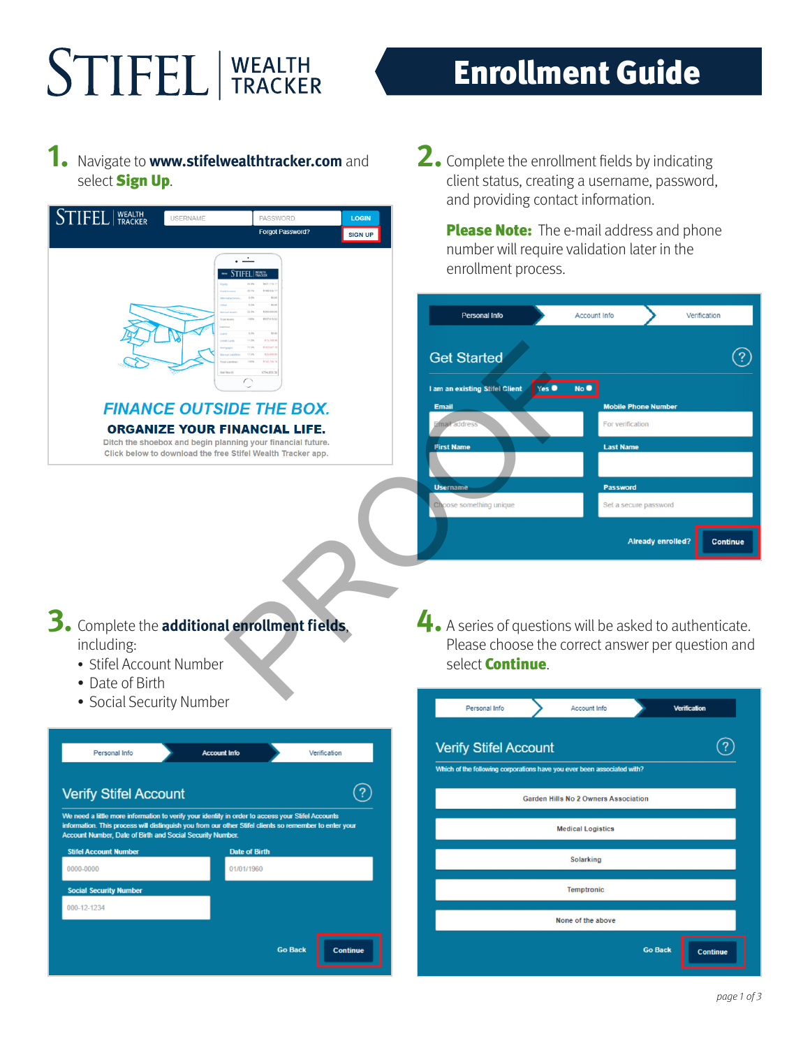# **STIFEL** | WEALTH

### Enrollment Guide

#### **1.** Navigate to **www.stifelwealthtracker.com** and select **Sign Up.**



**2.** Complete the enrollment fields by indicating client status, creating a username, password, and providing contact information.

Please Note: The e-mail address and phone number will require validation later in the enrollment process.

| <b>Personal Info</b>                            | Account Info<br>Verification                |  |
|-------------------------------------------------|---------------------------------------------|--|
| <b>Get Started</b>                              |                                             |  |
| Yes $\bullet$<br>I am an existing Stifel Client | No O                                        |  |
| <b>Email</b>                                    | <b>Mobile Phone Number</b>                  |  |
| Email address                                   | For verification                            |  |
| <b>First Name</b>                               | <b>Last Name</b>                            |  |
|                                                 |                                             |  |
| <b>Username</b>                                 | <b>Password</b>                             |  |
| Choose something unique                         | Set a secure password                       |  |
|                                                 | <b>Already enrolled?</b><br><b>Continue</b> |  |

**4.** A series of questions will be asked to authenticate. Please choose the correct answer per question and select **Continue**.

| Personal Info                                                           | Account Info             |                              | <b>Verification</b>                                           |  |
|-------------------------------------------------------------------------|--------------------------|------------------------------|---------------------------------------------------------------|--|
|                                                                         |                          |                              |                                                               |  |
| Which of the following corporations have you ever been associated with? |                          |                              |                                                               |  |
|                                                                         |                          |                              |                                                               |  |
|                                                                         | <b>Medical Logistics</b> |                              |                                                               |  |
|                                                                         | <b>Solarking</b>         |                              |                                                               |  |
| <b>Temptronic</b>                                                       |                          |                              |                                                               |  |
|                                                                         | None of the above        |                              |                                                               |  |
|                                                                         |                          |                              | <b>Continue</b>                                               |  |
|                                                                         |                          | <b>Verify Stifel Account</b> | <b>Garden Hills No 2 Owners Association</b><br><b>Go Back</b> |  |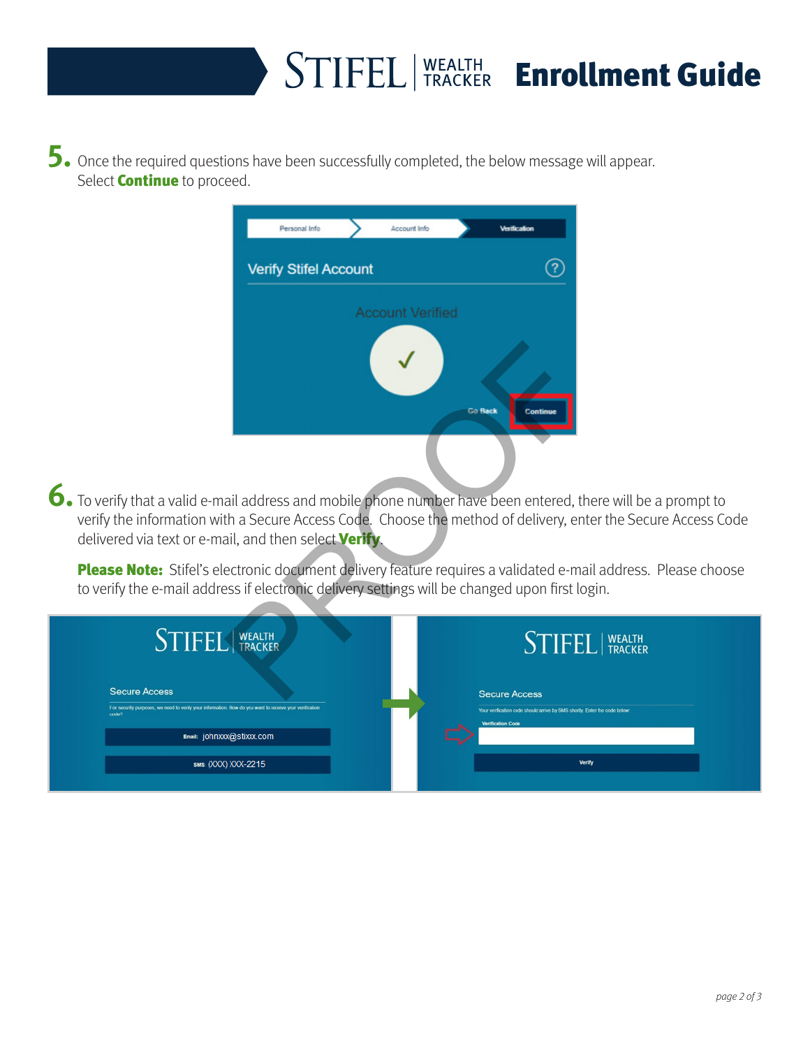## STIFEL WEALTH Enrollment Guide

**5.** Once the required questions have been successfully completed, the below message will appear. Select **Continue** to proceed.

| Account Info<br>Personal Info                                                                                                                                   | <b>Verification</b>        |  |  |  |  |  |
|-----------------------------------------------------------------------------------------------------------------------------------------------------------------|----------------------------|--|--|--|--|--|
| <b>Verify Stifel Account</b>                                                                                                                                    |                            |  |  |  |  |  |
| <b>Account Verified</b>                                                                                                                                         |                            |  |  |  |  |  |
|                                                                                                                                                                 | Continue<br><b>Go Back</b> |  |  |  |  |  |
| ail address and mobile phone number have been entered, tl<br>th a Secure Access Code. Choose the method of delivery, en<br>ail, and then select <b>Verify</b> . |                            |  |  |  |  |  |
| ectronic document delivery feature requires a validated e-ma<br>ess if electronic delivery settings will be changed upon first lo                               |                            |  |  |  |  |  |
| WEALTH                                                                                                                                                          | <b>STIFE</b>               |  |  |  |  |  |
|                                                                                                                                                                 | <b>Secure Access</b>       |  |  |  |  |  |

**6.** To verify that a valid e-mail address and mobile phone number have been entered, there will be a prompt to verify the information with a Secure Access Code. Choose the method of delivery, enter the Secure Access Code delivered via text or e-mail, and then select **Verify**.

Please Note: Stifel's electronic document delivery feature requires a validated e-mail address. Please choose to verify the e-mail address if electronic delivery settings will be changed upon first login.

| <b>STIFEL</b> WEALTH                                                                                                                     |  | <b>STIFEL</b>   WEALTH                                                                                                         |
|------------------------------------------------------------------------------------------------------------------------------------------|--|--------------------------------------------------------------------------------------------------------------------------------|
| <b>Secure Access</b><br>For security purposes, we need to verify your information. How do you want to receive your verification<br>code? |  | <b>Secure Access</b><br>Your verification code should arrive by SMS shortly. Enter the code below:<br><b>Verification Code</b> |
| Email: johnxxx@stixxx.com                                                                                                                |  |                                                                                                                                |
| SMS (XXX) XXX-2215                                                                                                                       |  | Verify                                                                                                                         |
|                                                                                                                                          |  |                                                                                                                                |